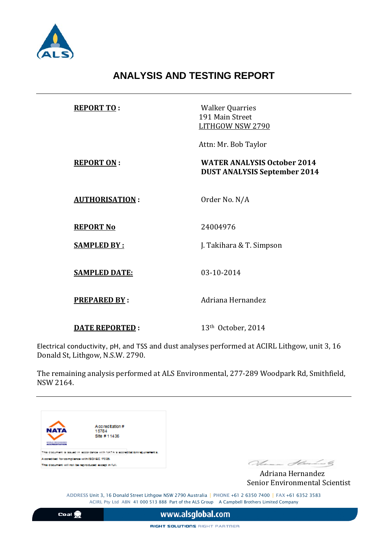

# **ANALYSIS AND TESTING REPORT**

| <b>REPORT TO:</b>     | <b>Walker Quarries</b><br>191 Main Street<br>LITHGOW NSW 2790             |
|-----------------------|---------------------------------------------------------------------------|
|                       | Attn: Mr. Bob Taylor                                                      |
| <b>REPORT ON:</b>     | <b>WATER ANALYSIS October 2014</b><br><b>DUST ANALYSIS September 2014</b> |
| <b>AUTHORISATION:</b> | Order No. N/A                                                             |
| <b>REPORT No</b>      | 24004976                                                                  |
| <b>SAMPLED BY:</b>    | J. Takihara & T. Simpson                                                  |
| <b>SAMPLED DATE:</b>  | 03-10-2014                                                                |
| <b>PREPARED BY:</b>   | Adriana Hernandez                                                         |
| <b>DATE REPORTED:</b> | 13th October, 2014                                                        |

Electrical conductivity, pH, and TSS and dust analyses performed at ACIRL Lithgow, unit 3, 16 Donald St, Lithgow, N.S.W. 2790.

The remaining analysis performed at ALS Environmental, 277-289 Woodpark Rd, Smithfield, NSW 2164.



Senior Environmental Scientist

ADDRESS Unit 3, 16 Donald Street Lithgow NSW 2790 Australia | PHONE +61 2 6350 7400 | FAX +61 6352 3583 ACIRL Pty Ltd ABN 41 000 513 888 Part of the ALS Group A Campbell Brothers Limited Company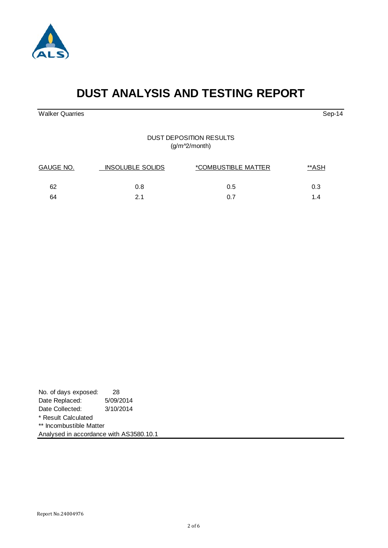



Analysed in accordance with AS3580.10.1

#### DUST DEPOSITION RESULTS (g/m^2/month)

**DUST ANALYSIS AND TESTING REPORT**

| GAUGE NO. | <b>INSOLUBLE SOLIDS</b> | *COMBUSTIBLE MATTER | **ASH |  |
|-----------|-------------------------|---------------------|-------|--|
| 62        | 0.8                     | $0.5^{\circ}$       | 0.3   |  |
| 64        | 21                      | 0.7                 | 14    |  |



Walker Quarries Sep-14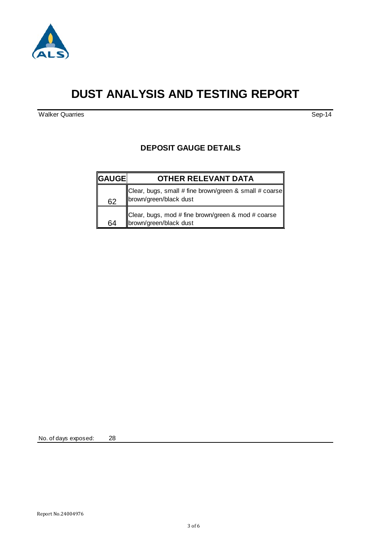

# **DUST ANALYSIS AND TESTING REPORT**

Walker Quarries Sep-14

#### **DEPOSIT GAUGE DETAILS**

| <b>GAUGE</b> | <b>OTHER RELEVANT DATA</b>                                                       |
|--------------|----------------------------------------------------------------------------------|
| 62           | Clear, bugs, small # fine brown/green & small # coarse<br>brown/green/black dust |
| 64           | Clear, bugs, mod # fine brown/green & mod # coarse<br>brown/green/black dust     |

No. of days exposed: 28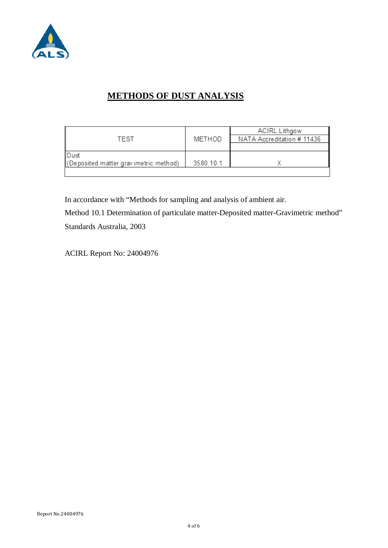

## **METHODS OF DUST ANALYSIS**

|                                       |           | <b>ACIRL Lithgow</b>       |
|---------------------------------------|-----------|----------------------------|
| TEST                                  | METHOD    | NATA Accreditation # 11436 |
|                                       |           |                            |
| <b>Dust</b>                           |           |                            |
| (Deposited matter gravimetric method) | 3580.10.1 |                            |
|                                       |           |                            |

In accordance with "Methods for sampling and analysis of ambient air.

Method 10.1 Determination of particulate matter-Deposited matter-Gravimetric method" Standards Australia, 2003

ACIRL Report No: 24004976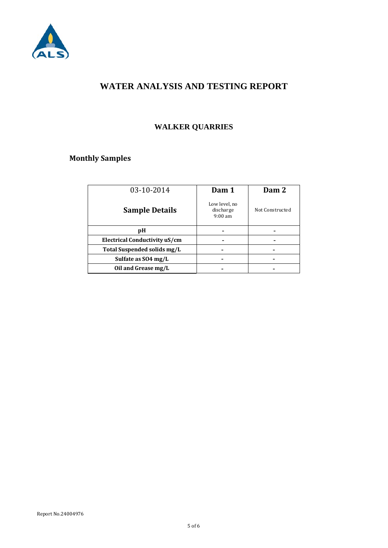

#### **WATER ANALYSIS AND TESTING REPORT**

### **WALKER QUARRIES**

### **Monthly Samples**

| 03-10-2014                    | Dam 1                                           | Dam 2           |
|-------------------------------|-------------------------------------------------|-----------------|
| <b>Sample Details</b>         | Low level, no<br>discharge<br>$9:00 \text{ am}$ | Not Constructed |
| pH                            |                                                 |                 |
| Electrical Conductivity uS/cm |                                                 |                 |
| Total Suspended solids mg/L   |                                                 |                 |
| Sulfate as SO4 mg/L           |                                                 |                 |
| Oil and Grease mg/L           |                                                 |                 |